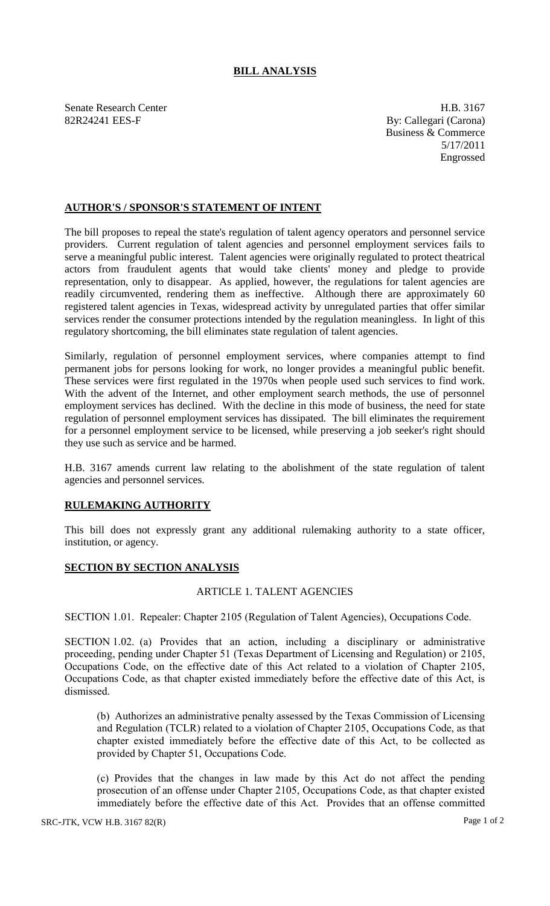## **BILL ANALYSIS**

Senate Research Center **H.B.** 3167 82R24241 EES-F By: Callegari (Carona)

Business & Commerce 5/17/2011 Engrossed

### **AUTHOR'S / SPONSOR'S STATEMENT OF INTENT**

The bill proposes to repeal the state's regulation of talent agency operators and personnel service providers. Current regulation of talent agencies and personnel employment services fails to serve a meaningful public interest. Talent agencies were originally regulated to protect theatrical actors from fraudulent agents that would take clients' money and pledge to provide representation, only to disappear. As applied, however, the regulations for talent agencies are readily circumvented, rendering them as ineffective. Although there are approximately 60 registered talent agencies in Texas, widespread activity by unregulated parties that offer similar services render the consumer protections intended by the regulation meaningless. In light of this regulatory shortcoming, the bill eliminates state regulation of talent agencies.

Similarly, regulation of personnel employment services, where companies attempt to find permanent jobs for persons looking for work, no longer provides a meaningful public benefit. These services were first regulated in the 1970s when people used such services to find work. With the advent of the Internet, and other employment search methods, the use of personnel employment services has declined. With the decline in this mode of business, the need for state regulation of personnel employment services has dissipated. The bill eliminates the requirement for a personnel employment service to be licensed, while preserving a job seeker's right should they use such as service and be harmed.

H.B. 3167 amends current law relating to the abolishment of the state regulation of talent agencies and personnel services.

#### **RULEMAKING AUTHORITY**

This bill does not expressly grant any additional rulemaking authority to a state officer, institution, or agency.

#### **SECTION BY SECTION ANALYSIS**

#### ARTICLE 1. TALENT AGENCIES

SECTION 1.01. Repealer: Chapter 2105 (Regulation of Talent Agencies), Occupations Code.

SECTION 1.02. (a) Provides that an action, including a disciplinary or administrative proceeding, pending under Chapter 51 (Texas Department of Licensing and Regulation) or 2105, Occupations Code, on the effective date of this Act related to a violation of Chapter 2105, Occupations Code, as that chapter existed immediately before the effective date of this Act, is dismissed.

(b) Authorizes an administrative penalty assessed by the Texas Commission of Licensing and Regulation (TCLR) related to a violation of Chapter 2105, Occupations Code, as that chapter existed immediately before the effective date of this Act, to be collected as provided by Chapter 51, Occupations Code.

(c) Provides that the changes in law made by this Act do not affect the pending prosecution of an offense under Chapter 2105, Occupations Code, as that chapter existed immediately before the effective date of this Act. Provides that an offense committed